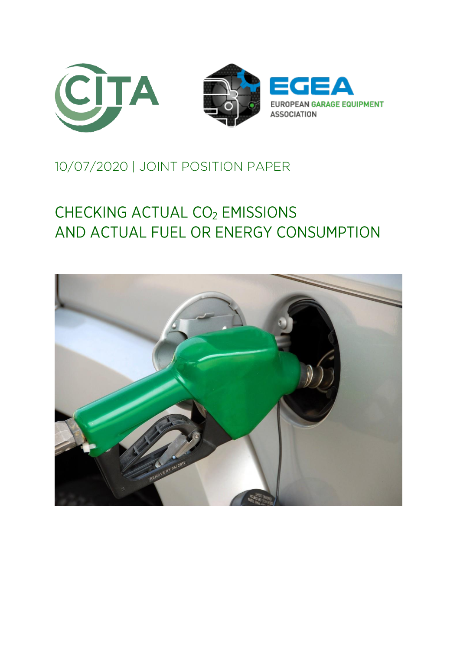

# 10/07/2020 | JOINT POSITION PAPER

# CHECKING ACTUAL CO<sub>2</sub> EMISSIONS AND ACTUAL FUEL OR ENERGY CONSUMPTION

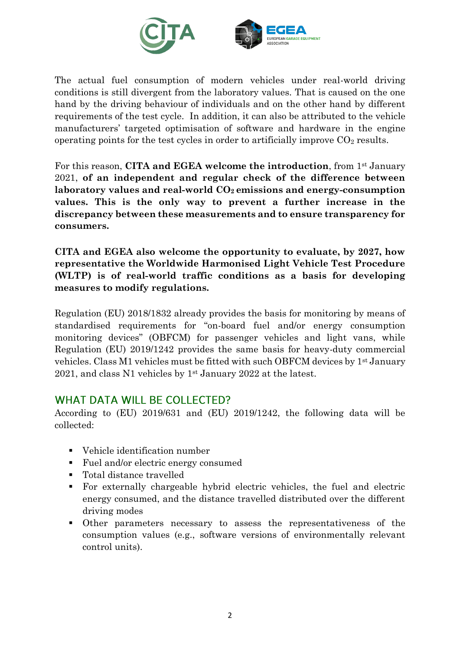

The actual fuel consumption of modern vehicles under real-world driving conditions is still divergent from the laboratory values. That is caused on the one hand by the driving behaviour of individuals and on the other hand by different requirements of the test cycle. In addition, it can also be attributed to the vehicle manufacturers' targeted optimisation of software and hardware in the engine operating points for the test cycles in order to artificially improve  $CO<sub>2</sub>$  results.

For this reason, **CITA and EGEA welcome the introduction**, from 1st January 2021, **of an independent and regular check of the difference between laboratory values and real-world CO2 emissions and energy-consumption values. This is the only way to prevent a further increase in the discrepancy between these measurements and to ensure transparency for consumers.**

**CITA and EGEA also welcome the opportunity to evaluate, by 2027, how representative the Worldwide Harmonised Light Vehicle Test Procedure (WLTP) is of real-world traffic conditions as a basis for developing measures to modify regulations.**

Regulation (EU) 2018/1832 already provides the basis for monitoring by means of standardised requirements for "on-board fuel and/or energy consumption monitoring devices" (OBFCM) for passenger vehicles and light vans, while Regulation (EU) 2019/1242 provides the same basis for heavy-duty commercial vehicles. Class M1 vehicles must be fitted with such OBFCM devices by  $1^{st}$  January 2021, and class N1 vehicles by 1st January 2022 at the latest.

#### **WHAT DATA WILL BE COLLECTED?**

According to (EU) 2019/631 and (EU) 2019/1242, the following data will be collected:

- Vehicle identification number
- Fuel and/or electric energy consumed
- Total distance travelled
- For externally chargeable hybrid electric vehicles, the fuel and electric energy consumed, and the distance travelled distributed over the different driving modes
- Other parameters necessary to assess the representativeness of the consumption values (e.g., software versions of environmentally relevant control units).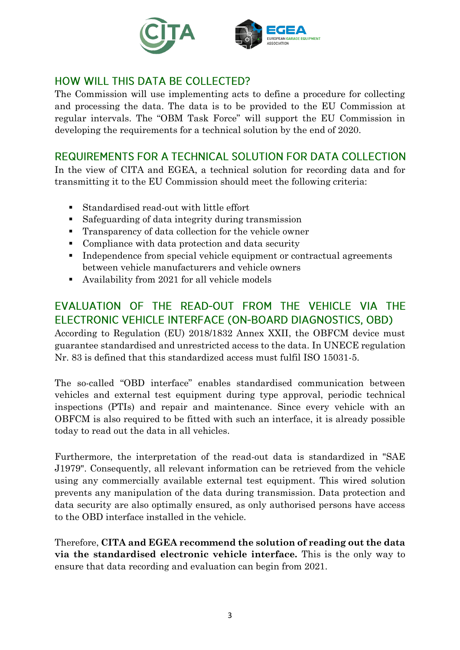

# HOW WILL THIS DATA BE COLLECTED?

The Commission will use implementing acts to define a procedure for collecting and processing the data. The data is to be provided to the EU Commission at regular intervals. The "OBM Task Force" will support the EU Commission in developing the requirements for a technical solution by the end of 2020.

#### REQUIREMENTS FOR A TECHNICAL SOLUTION FOR DATA COLLECTION

In the view of CITA and EGEA, a technical solution for recording data and for transmitting it to the EU Commission should meet the following criteria:

- Standardised read-out with little effort
- Safeguarding of data integrity during transmission
- Transparency of data collection for the vehicle owner
- Compliance with data protection and data security
- Independence from special vehicle equipment or contractual agreements between vehicle manufacturers and vehicle owners
- Availability from 2021 for all vehicle models

### EVALUATION OF THE READ-OUT FROM THE VEHICLE VIA THE ELECTRONIC VEHICLE INTERFACE (ON-BOARD DIAGNOSTICS, OBD)

According to Regulation (EU) 2018/1832 Annex XXII, the OBFCM device must guarantee standardised and unrestricted access to the data. In UNECE regulation Nr. 83 is defined that this standardized access must fulfil ISO 15031-5.

The so-called "OBD interface" enables standardised communication between vehicles and external test equipment during type approval, periodic technical inspections (PTIs) and repair and maintenance. Since every vehicle with an OBFCM is also required to be fitted with such an interface, it is already possible today to read out the data in all vehicles.

Furthermore, the interpretation of the read-out data is standardized in "SAE J1979". Consequently, all relevant information can be retrieved from the vehicle using any commercially available external test equipment. This wired solution prevents any manipulation of the data during transmission. Data protection and data security are also optimally ensured, as only authorised persons have access to the OBD interface installed in the vehicle.

Therefore, **CITA and EGEA recommend the solution of reading out the data via the standardised electronic vehicle interface.** This is the only way to ensure that data recording and evaluation can begin from 2021.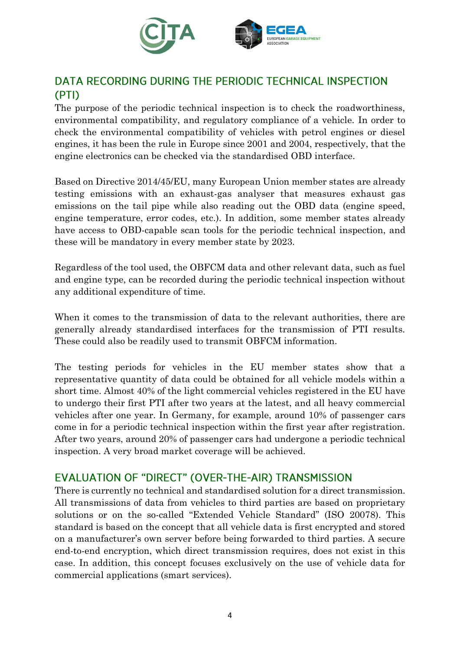

## DATA RECORDING DURING THE PERIODIC TECHNICAL INSPECTION (PTI)

The purpose of the periodic technical inspection is to check the roadworthiness, environmental compatibility, and regulatory compliance of a vehicle. In order to check the environmental compatibility of vehicles with petrol engines or diesel engines, it has been the rule in Europe since 2001 and 2004, respectively, that the engine electronics can be checked via the standardised OBD interface.

Based on Directive 2014/45/EU, many European Union member states are already testing emissions with an exhaust-gas analyser that measures exhaust gas emissions on the tail pipe while also reading out the OBD data (engine speed, engine temperature, error codes, etc.). In addition, some member states already have access to OBD-capable scan tools for the periodic technical inspection, and these will be mandatory in every member state by 2023.

Regardless of the tool used, the OBFCM data and other relevant data, such as fuel and engine type, can be recorded during the periodic technical inspection without any additional expenditure of time.

When it comes to the transmission of data to the relevant authorities, there are generally already standardised interfaces for the transmission of PTI results. These could also be readily used to transmit OBFCM information.

The testing periods for vehicles in the EU member states show that a representative quantity of data could be obtained for all vehicle models within a short time. Almost 40% of the light commercial vehicles registered in the EU have to undergo their first PTI after two years at the latest, and all heavy commercial vehicles after one year. In Germany, for example, around 10% of passenger cars come in for a periodic technical inspection within the first year after registration. After two years, around 20% of passenger cars had undergone a periodic technical inspection. A very broad market coverage will be achieved.

#### EVALUATION OF "DIRECT" (OVER-THE-AIR) TRANSMISSION

There is currently no technical and standardised solution for a direct transmission. All transmissions of data from vehicles to third parties are based on proprietary solutions or on the so-called "Extended Vehicle Standard" (ISO 20078). This standard is based on the concept that all vehicle data is first encrypted and stored on a manufacturer's own server before being forwarded to third parties. A secure end-to-end encryption, which direct transmission requires, does not exist in this case. In addition, this concept focuses exclusively on the use of vehicle data for commercial applications (smart services).